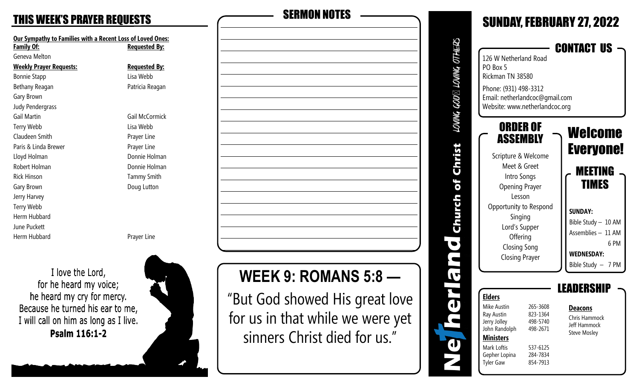# THIS WEEK 'S PRAYER REQUESTS SERMON NOTES

**Our Sympathy to Families with a Recent Loss of Loved Ones: Family Of: Requested By:** Geneva Melton **Weekly Prayer Requests: Requested By:** Bonnie Stapp Lisa Webb Bethany Reagan **Patricia Reagan** Gary Brown Judy Pendergrass Gail Martin Gail McCormick Terry Webb Lisa Webb Claudeen Smith **Prayer Line** Paris & Linda Brewer **Prayer Line** Lloyd Holman **Donnie Holman** Robert Holman **Donnie Holman** Rick Hinson **Tammy Smith** Gary Brown **Doug Lutton** Jerry Harvey Terry Webb Herm Hubbard June Puckett Herm Hubbard **Prayer Line** 

I love the Lord, for he heard my voice; he heard my cry for mercy. Because he turned his ear to me, I will call on him as long as I live. Psalm 116:1-2





# **WEEK 9: ROMANS 5:8 —**

"But God showed His great love for us in that while we were yet sinners Christ died for us."

|                       |                                                                                                                                                            |                                                                                  | <b>SUNDAY, FEBRUARY 27, 2022</b>                                                                              |
|-----------------------|------------------------------------------------------------------------------------------------------------------------------------------------------------|----------------------------------------------------------------------------------|---------------------------------------------------------------------------------------------------------------|
| LOWING GOD⊠ LOVING OT | 126 W Netherland Road<br>PO Box 5<br>Rickman TN 38580<br>Phone: (931) 498-3312<br>Email: netherlandcoc@gmail.com                                           |                                                                                  | CONTACT US                                                                                                    |
| or chri               | Website: www.netherlandcoc.org<br>ORDER OF<br>ASSEMBLY<br>Scripture & Welcome<br>Meet & Greet<br>Intro Songs<br><b>Opening Prayer</b>                      |                                                                                  | Welcome<br><b>Everyone!</b><br>MEETING<br>TIMES                                                               |
|                       | Lesson<br>Opportunity to Respond<br>Singing<br>Lord's Supper<br>Offering<br><b>Closing Song</b><br><b>Closing Prayer</b>                                   |                                                                                  | <b>SUNDAY:</b><br>Bible Study - 10 AM<br>Assemblies - 11 AM<br>6PM<br><b>WEDNESDAY:</b><br>Bible Study - 7 PM |
|                       | <b>Elders</b><br><b>Mike Austin</b><br>Ray Austin<br>Jerry Jolley<br>John Randolph<br><b>Ministers</b><br>Mark Loftis<br>Gepher Lopina<br><b>Tyler Gaw</b> | 265-3608<br>823-1364<br>498-5740<br>498-2671<br>537-6125<br>284-7834<br>854-7913 | 11 KS<br><b>Deacons</b><br>Chris Hammock<br>Jeff Hammock<br><b>Steve Mosley</b>                               |